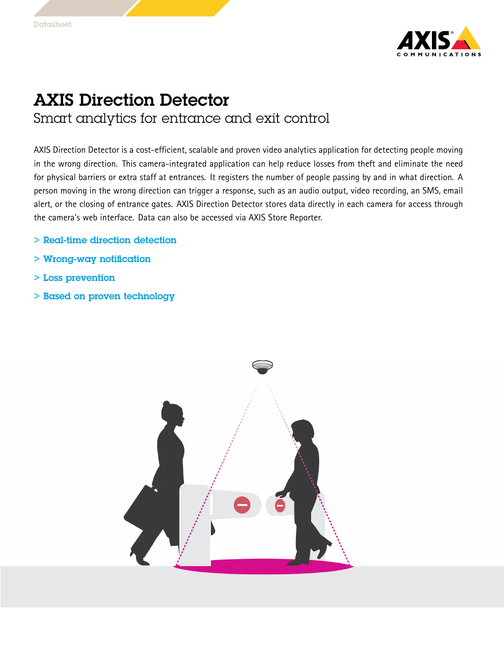

## AXIS Direction Detector Smart analytics for entrance and exit control

AXIS Direction Detector is <sup>a</sup> cost-efficient, scalable and proven video analytics application for detecting people moving in the wrong direction. This camera-integrated application can help reduce losses from theft and eliminate the need for physical barriers or extra staff at entrances. It registers the number of people passing by and in what direction. A person moving in the wrong direction can trigger <sup>a</sup> response, such as an audio output, video recording, an SMS, email alert, or the closing of entrance gates. AXIS Direction Detector stores data directly in each camera for access through the camera's web interface. Data can also be accessed via AXIS Store Reporter.

- > Real-time direction detection
- > Wrong-way notification
- > Loss prevention
- > Based on proven technology